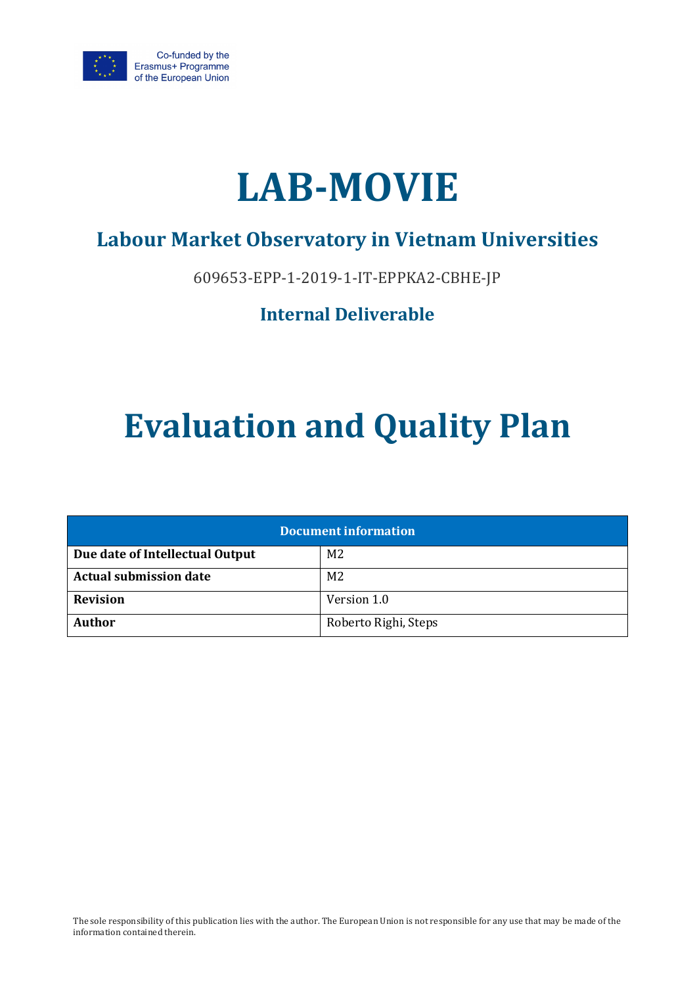



# **Labour Market Observatory in Vietnam Universities**

609653-EPP-1-2019-1-IT-EPPKA2-CBHE-JP

## **Internal Deliverable**

# **Evaluation and Quality Plan**

| <b>Document information</b>                       |                      |  |  |
|---------------------------------------------------|----------------------|--|--|
| Due date of Intellectual Output<br>M <sub>2</sub> |                      |  |  |
| <b>Actual submission date</b>                     | M <sub>2</sub>       |  |  |
| <b>Revision</b>                                   | Version 1.0          |  |  |
| <b>Author</b>                                     | Roberto Righi, Steps |  |  |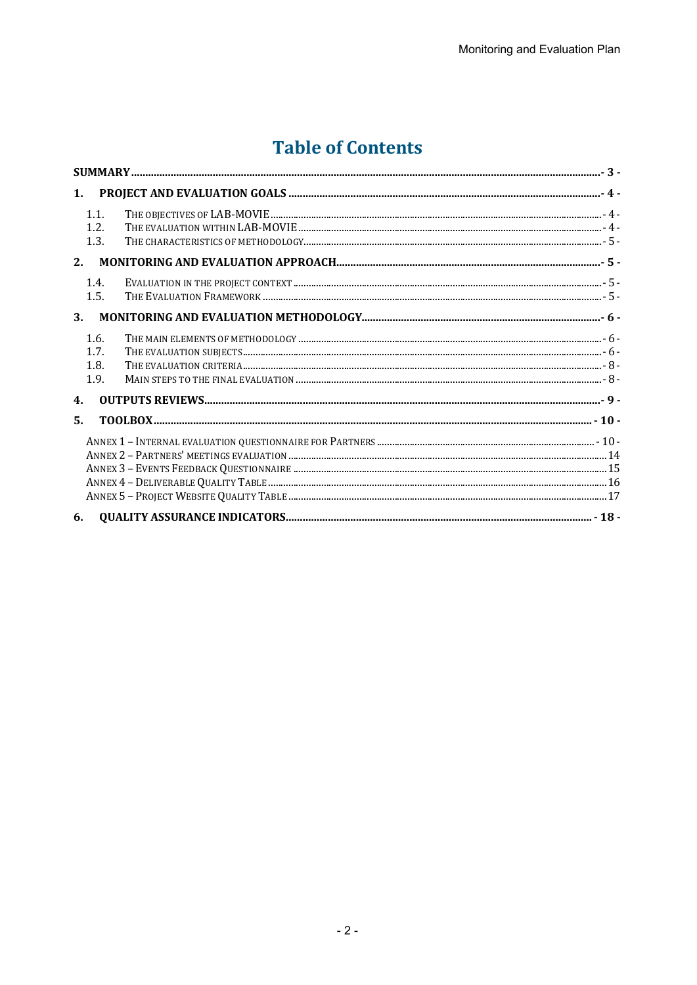# **Table of Contents**

| 1 <sub>1</sub>               |  |
|------------------------------|--|
| 1.1.<br>1.2.<br>1.3.         |  |
| 2.                           |  |
| 1.4.<br>1.5.                 |  |
| 3.                           |  |
| 1.6.<br>1.7.<br>1.8.<br>1.9. |  |
| 4.                           |  |
| 5.                           |  |
|                              |  |
| 6.                           |  |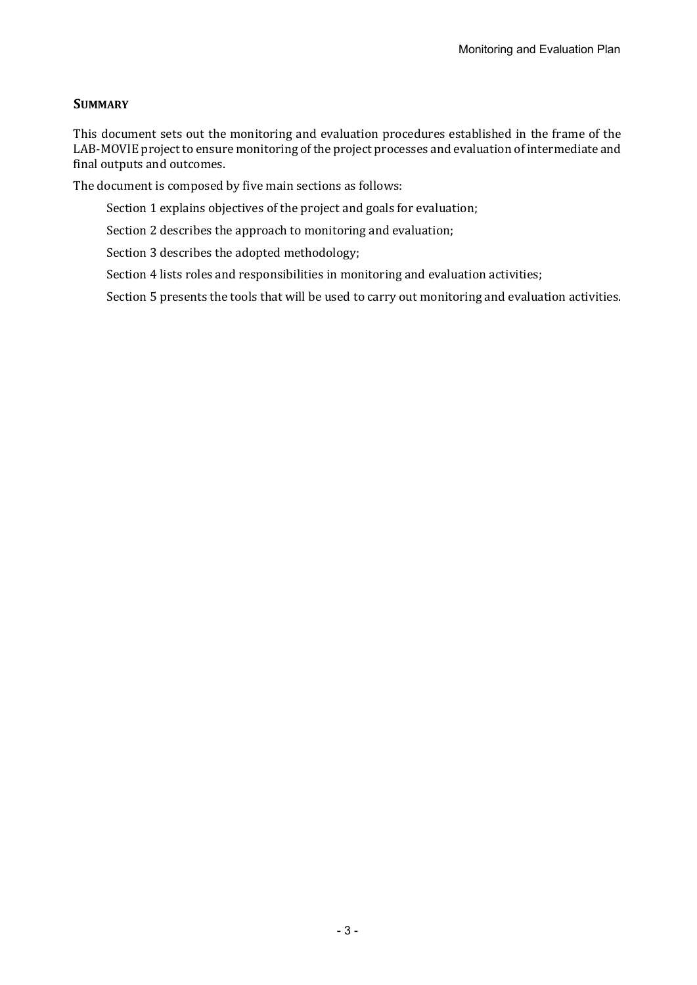#### **SUMMARY**

This document sets out the monitoring and evaluation procedures established in the frame of the LAB-MOVIE project to ensure monitoring of the project processes and evaluation of intermediate and final outputs and outcomes.

The document is composed by five main sections as follows:

Section 1 explains objectives of the project and goals for evaluation;

Section 2 describes the approach to monitoring and evaluation;

Section 3 describes the adopted methodology;

Section 4 lists roles and responsibilities in monitoring and evaluation activities;

Section 5 presents the tools that will be used to carry out monitoring and evaluation activities.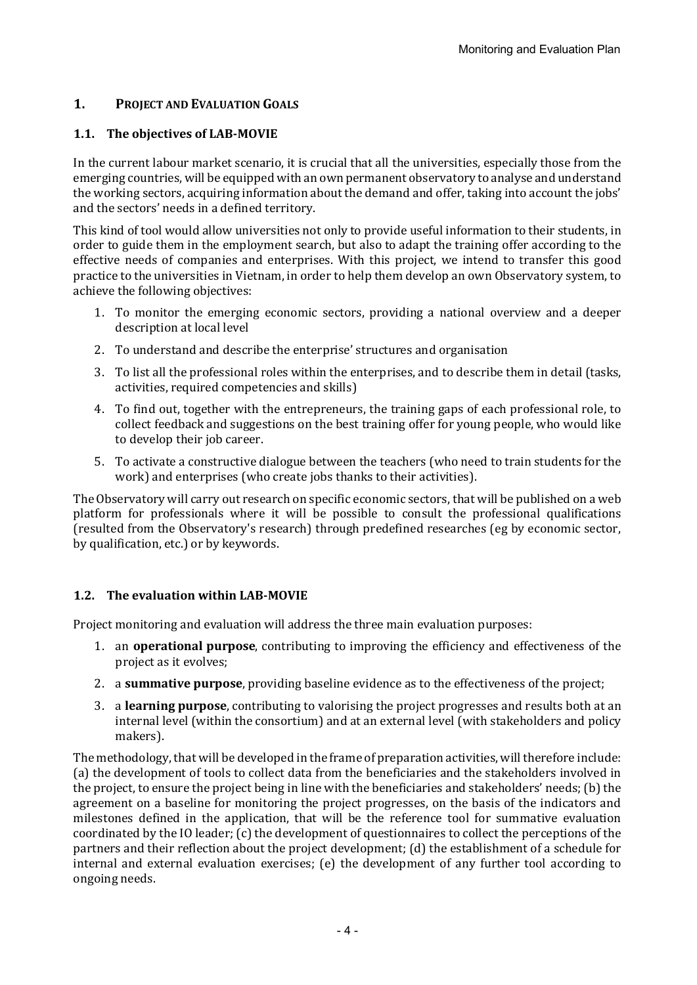#### **1. PROJECT AND EVALUATION GOALS**

#### **1.1.** The objectives of LAB-MOVIE

In the current labour market scenario, it is crucial that all the universities, especially those from the emerging countries, will be equipped with an own permanent observatory to analyse and understand the working sectors, acquiring information about the demand and offer, taking into account the jobs' and the sectors' needs in a defined territory.

This kind of tool would allow universities not only to provide useful information to their students, in order to guide them in the employment search, but also to adapt the training offer according to the effective needs of companies and enterprises. With this project, we intend to transfer this good practice to the universities in Vietnam, in order to help them develop an own Observatory system, to achieve the following objectives:

- 1. To monitor the emerging economic sectors, providing a national overview and a deeper description at local level
- 2. To understand and describe the enterprise' structures and organisation
- 3. To list all the professional roles within the enterprises, and to describe them in detail (tasks, activities, required competencies and skills)
- 4. To find out, together with the entrepreneurs, the training gaps of each professional role, to collect feedback and suggestions on the best training offer for young people, who would like to develop their job career.
- 5. To activate a constructive dialogue between the teachers (who need to train students for the work) and enterprises (who create jobs thanks to their activities).

The Observatory will carry out research on specific economic sectors, that will be published on a web platform for professionals where it will be possible to consult the professional qualifications (resulted from the Observatory's research) through predefined researches (eg by economic sector, by qualification, etc.) or by keywords.

#### **1.2.** The evaluation within LAB-MOVIE

Project monitoring and evaluation will address the three main evaluation purposes:

- 1. an **operational purpose**, contributing to improving the efficiency and effectiveness of the project as it evolves;
- 2. a **summative purpose**, providing baseline evidence as to the effectiveness of the project;
- 3. a **learning purpose**, contributing to valorising the project progresses and results both at an internal level (within the consortium) and at an external level (with stakeholders and policy makers).

The methodology, that will be developed in the frame of preparation activities, will therefore include: (a) the development of tools to collect data from the beneficiaries and the stakeholders involved in the project, to ensure the project being in line with the beneficiaries and stakeholders' needs; (b) the agreement on a baseline for monitoring the project progresses, on the basis of the indicators and milestones defined in the application, that will be the reference tool for summative evaluation coordinated by the IO leader; (c) the development of questionnaires to collect the perceptions of the partners and their reflection about the project development; (d) the establishment of a schedule for internal and external evaluation exercises; (e) the development of any further tool according to ongoing needs.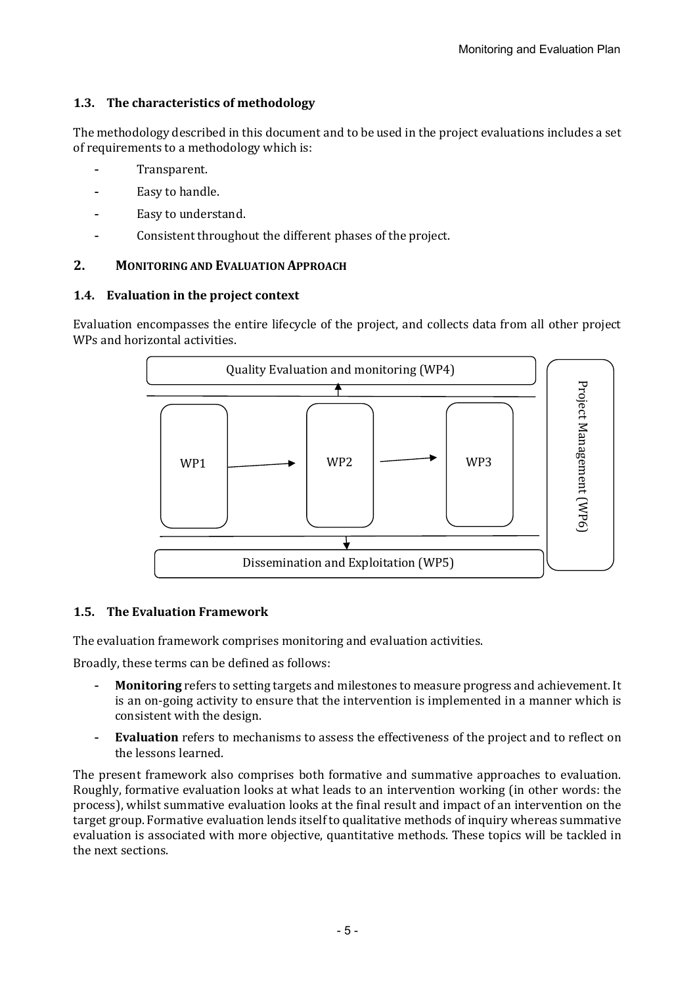#### **1.3.** The characteristics of methodology

The methodology described in this document and to be used in the project evaluations includes a set of requirements to a methodology which is:

- Transparent.
- Easy to handle.
- Easy to understand.
- Consistent throughout the different phases of the project.

#### **2. MONITORING AND EVALUATION APPROACH**

#### 1.4. Evaluation in the project context

Evaluation encompasses the entire lifecycle of the project, and collects data from all other project WPs and horizontal activities.



#### **1.5. The Evaluation Framework**

The evaluation framework comprises monitoring and evaluation activities.

Broadly, these terms can be defined as follows:

- **Monitoring** refers to setting targets and milestones to measure progress and achievement. It is an on-going activity to ensure that the intervention is implemented in a manner which is consistent with the design.
- **Evaluation** refers to mechanisms to assess the effectiveness of the project and to reflect on the lessons learned.

The present framework also comprises both formative and summative approaches to evaluation. Roughly, formative evaluation looks at what leads to an intervention working (in other words: the process), whilst summative evaluation looks at the final result and impact of an intervention on the target group. Formative evaluation lends itself to qualitative methods of inquiry whereas summative evaluation is associated with more objective, quantitative methods. These topics will be tackled in the next sections.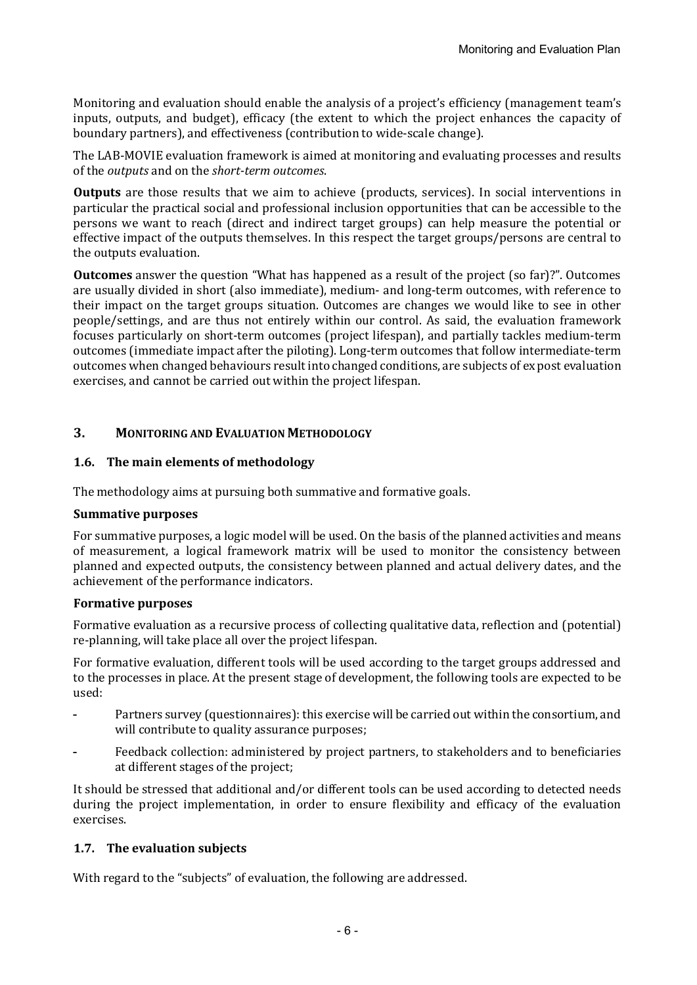Monitoring and evaluation should enable the analysis of a project's efficiency (management team's inputs, outputs, and budget), efficacy (the extent to which the project enhances the capacity of boundary partners), and effectiveness (contribution to wide-scale change).

The LAB-MOVIE evaluation framework is aimed at monitoring and evaluating processes and results of the *outputs* and on the *short-term outcomes*.

**Outputs** are those results that we aim to achieve (products, services). In social interventions in particular the practical social and professional inclusion opportunities that can be accessible to the persons we want to reach (direct and indirect target groups) can help measure the potential or effective impact of the outputs themselves. In this respect the target groups/persons are central to the outputs evaluation.

**Outcomes** answer the question "What has happened as a result of the project (so far)?". Outcomes are usually divided in short (also immediate), medium- and long-term outcomes, with reference to their impact on the target groups situation. Outcomes are changes we would like to see in other people/settings, and are thus not entirely within our control. As said, the evaluation framework focuses particularly on short-term outcomes (project lifespan), and partially tackles medium-term outcomes (immediate impact after the piloting). Long-term outcomes that follow intermediate-term outcomes when changed behaviours result into changed conditions, are subjects of ex post evaluation exercises, and cannot be carried out within the project lifespan.

#### **3. MONITORING AND EVALUATION METHODOLOGY**

#### **1.6.** The main elements of methodology

The methodology aims at pursuing both summative and formative goals.

#### **Summative purposes**

For summative purposes, a logic model will be used. On the basis of the planned activities and means of measurement, a logical framework matrix will be used to monitor the consistency between planned and expected outputs, the consistency between planned and actual delivery dates, and the achievement of the performance indicators.

#### **Formative purposes**

Formative evaluation as a recursive process of collecting qualitative data, reflection and (potential) re-planning, will take place all over the project lifespan.

For formative evaluation, different tools will be used according to the target groups addressed and to the processes in place. At the present stage of development, the following tools are expected to be used: 

- Partners survey (questionnaires): this exercise will be carried out within the consortium, and will contribute to quality assurance purposes;
- Feedback collection: administered by project partners, to stakeholders and to beneficiaries at different stages of the project;

It should be stressed that additional and/or different tools can be used according to detected needs during the project implementation, in order to ensure flexibility and efficacy of the evaluation exercises.

#### **1.7.** The evaluation subjects

With regard to the "subjects" of evaluation, the following are addressed.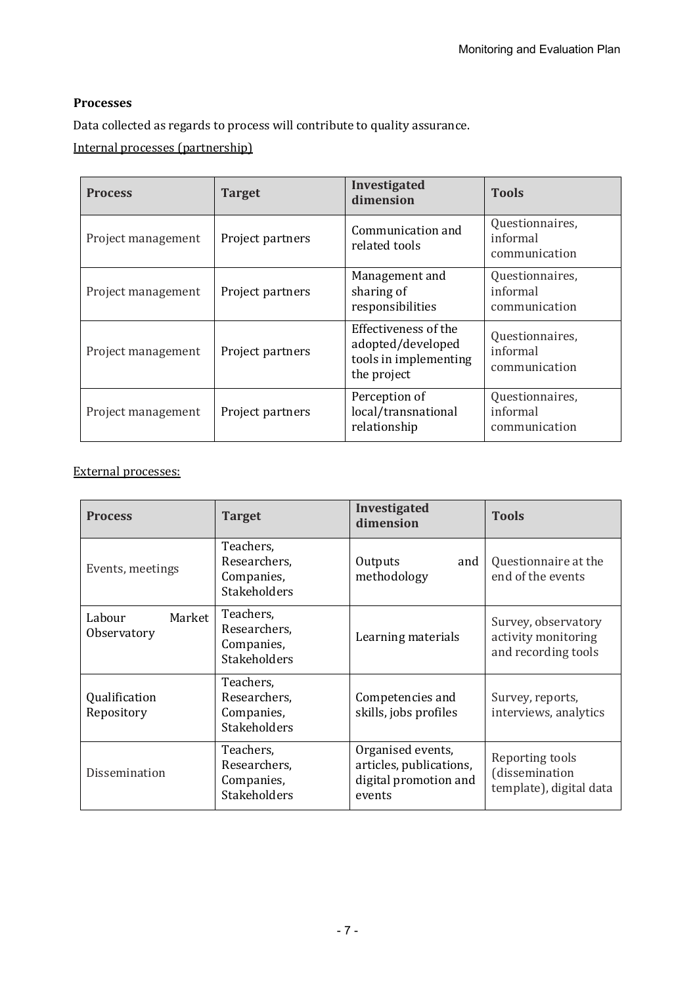#### **Processes**

Data collected as regards to process will contribute to quality assurance.

Internal processes (partnership)

| <b>Process</b>     | <b>Target</b>    | Investigated<br>dimension                                                         | <b>Tools</b>                                 |
|--------------------|------------------|-----------------------------------------------------------------------------------|----------------------------------------------|
| Project management | Project partners | Communication and<br>related tools                                                | Questionnaires,<br>informal<br>communication |
| Project management | Project partners | Management and<br>sharing of<br>responsibilities                                  | Questionnaires,<br>informal<br>communication |
| Project management | Project partners | Effectiveness of the<br>adopted/developed<br>tools in implementing<br>the project | Questionnaires,<br>informal<br>communication |
| Project management | Project partners | Perception of<br>local/transnational<br>relationship                              | Questionnaires,<br>informal<br>communication |

#### External processes:

| <b>Process</b>                  | <b>Target</b>                                                  | Investigated<br>dimension                                                       | <b>Tools</b>                                                      |
|---------------------------------|----------------------------------------------------------------|---------------------------------------------------------------------------------|-------------------------------------------------------------------|
| Events, meetings                | Teachers,<br>Researchers,<br>Companies,<br><b>Stakeholders</b> | and<br>Outputs<br>methodology                                                   | Questionnaire at the<br>end of the events                         |
| Labour<br>Market<br>Observatory | Teachers,<br>Researchers,<br>Companies,<br><b>Stakeholders</b> | Learning materials                                                              | Survey, observatory<br>activity monitoring<br>and recording tools |
| Qualification<br>Repository     | Teachers,<br>Researchers,<br>Companies,<br><b>Stakeholders</b> | Competencies and<br>skills, jobs profiles                                       | Survey, reports,<br>interviews, analytics                         |
| Dissemination                   | Teachers,<br>Researchers,<br>Companies,<br><b>Stakeholders</b> | Organised events,<br>articles, publications,<br>digital promotion and<br>events | Reporting tools<br>(dissemination<br>template), digital data      |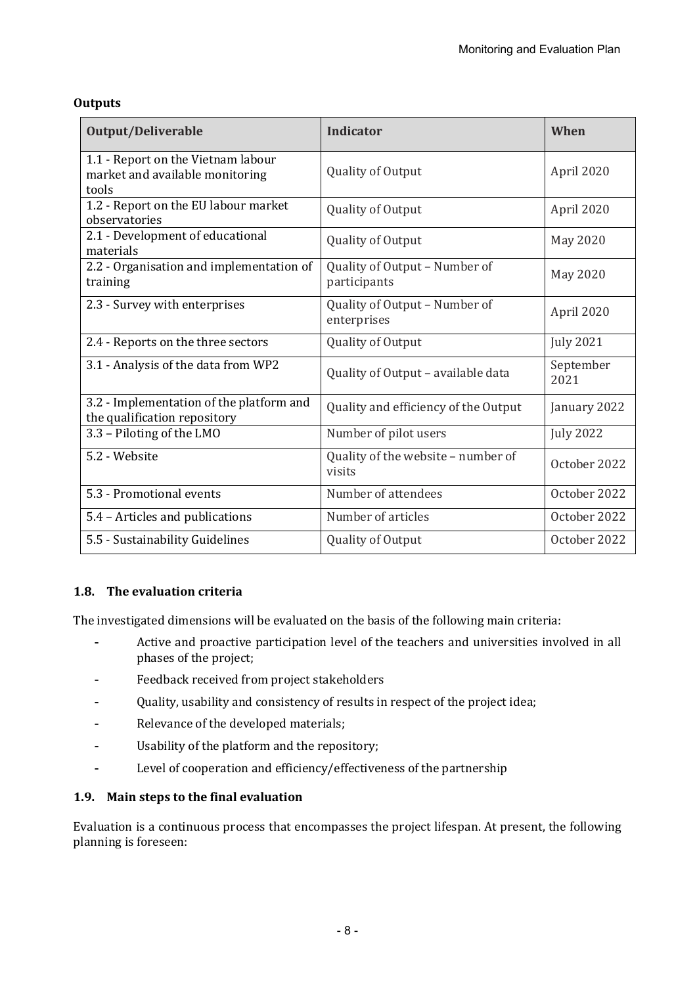| Output/Deliverable                                                             | Indicator                                     | When              |
|--------------------------------------------------------------------------------|-----------------------------------------------|-------------------|
| 1.1 - Report on the Vietnam labour<br>market and available monitoring<br>tools | Quality of Output                             | April 2020        |
| 1.2 - Report on the EU labour market<br>observatories                          | Quality of Output                             | April 2020        |
| 2.1 - Development of educational<br>materials                                  | Quality of Output                             | May 2020          |
| 2.2 - Organisation and implementation of<br>training                           | Quality of Output - Number of<br>participants | May 2020          |
| 2.3 - Survey with enterprises                                                  | Quality of Output - Number of<br>enterprises  | April 2020        |
| 2.4 - Reports on the three sectors                                             | Quality of Output                             | <b>July 2021</b>  |
| 3.1 - Analysis of the data from WP2                                            | Quality of Output - available data            | September<br>2021 |
| 3.2 - Implementation of the platform and<br>the qualification repository       | Quality and efficiency of the Output          | January 2022      |
| 3.3 - Piloting of the LMO                                                      | Number of pilot users                         | <b>July 2022</b>  |
| 5.2 - Website                                                                  | Quality of the website - number of<br>visits  | October 2022      |
| 5.3 - Promotional events                                                       | Number of attendees                           | October 2022      |
| 5.4 - Articles and publications                                                | Number of articles                            | October 2022      |
| 5.5 - Sustainability Guidelines                                                | Quality of Output                             | October 2022      |

#### **Outputs**

#### **1.8.** The evaluation criteria

The investigated dimensions will be evaluated on the basis of the following main criteria:

- Active and proactive participation level of the teachers and universities involved in all phases of the project;
- Feedback received from project stakeholders
- Quality, usability and consistency of results in respect of the project idea;
- Relevance of the developed materials;
- Usability of the platform and the repository;
- Level of cooperation and efficiency/effectiveness of the partnership

#### **1.9.** Main steps to the final evaluation

Evaluation is a continuous process that encompasses the project lifespan. At present, the following planning is foreseen: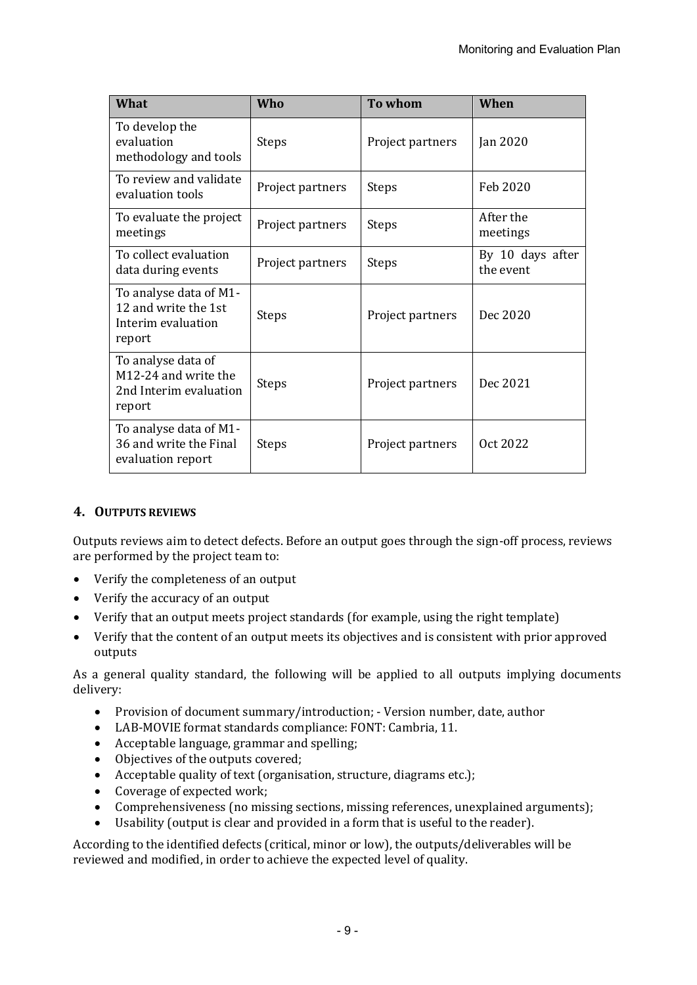| <b>What</b>                                                                    | Who              | To whom          | When                          |
|--------------------------------------------------------------------------------|------------------|------------------|-------------------------------|
| To develop the<br>evaluation<br>methodology and tools                          | <b>Steps</b>     | Project partners | Jan 2020                      |
| To review and validate<br>evaluation tools                                     | Project partners | <b>Steps</b>     | Feb 2020                      |
| To evaluate the project<br>meetings                                            | Project partners | <b>Steps</b>     | After the<br>meetings         |
| To collect evaluation<br>data during events                                    | Project partners | <b>Steps</b>     | By 10 days after<br>the event |
| To analyse data of M1-<br>12 and write the 1st<br>Interim evaluation<br>report | <b>Steps</b>     | Project partners | Dec 2020                      |
| To analyse data of<br>M12-24 and write the<br>2nd Interim evaluation<br>report | <b>Steps</b>     | Project partners | Dec 2021                      |
| To analyse data of M1-<br>36 and write the Final<br>evaluation report          | <b>Steps</b>     | Project partners | Oct 2022                      |

#### **4. OUTPUTS REVIEWS**

Outputs reviews aim to detect defects. Before an output goes through the sign-off process, reviews are performed by the project team to:

- Verify the completeness of an output
- Verify the accuracy of an output
- Verify that an output meets project standards (for example, using the right template)
- Verify that the content of an output meets its objectives and is consistent with prior approved outputs

As a general quality standard, the following will be applied to all outputs implying documents delivery:

- Provision of document summary/introduction: Version number, date, author
- LAB-MOVIE format standards compliance: FONT: Cambria, 11.
- Acceptable language, grammar and spelling;
- Objectives of the outputs covered;
- Acceptable quality of text (organisation, structure, diagrams etc.);
- Coverage of expected work;
- Comprehensiveness (no missing sections, missing references, unexplained arguments);
- Usability (output is clear and provided in a form that is useful to the reader).

According to the identified defects (critical, minor or low), the outputs/deliverables will be reviewed and modified, in order to achieve the expected level of quality.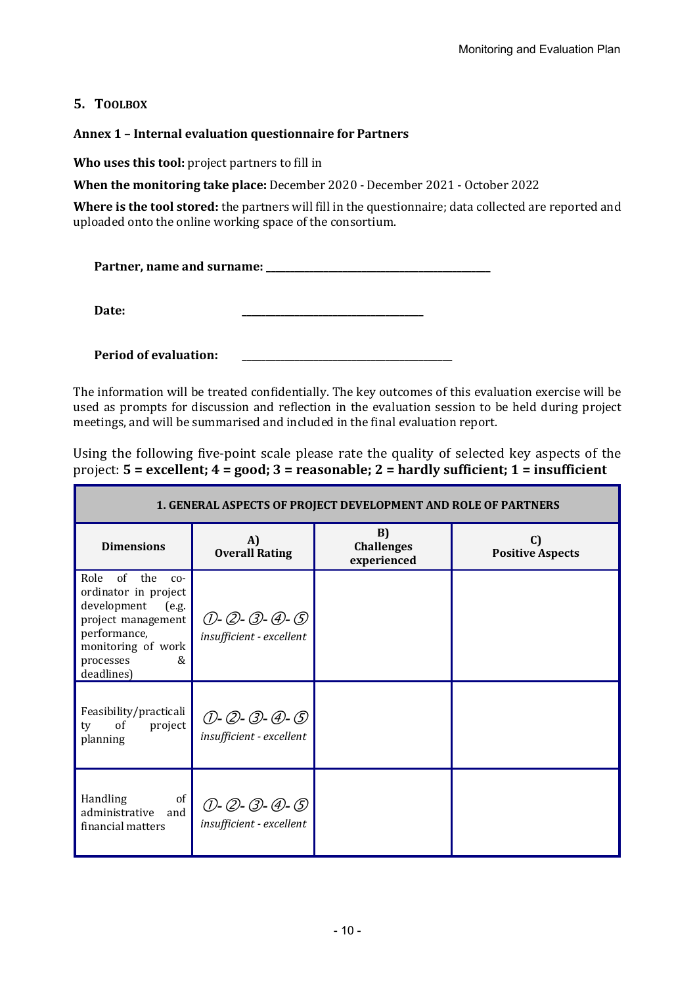#### **5. TOOLBOX**

#### Annex 1 - Internal evaluation questionnaire for Partners

**Who uses this tool:** project partners to fill in

**When the monitoring take place:** December 2020 - December 2021 - October 2022

Where is the tool stored: the partners will fill in the questionnaire; data collected are reported and uploaded onto the online working space of the consortium.

**Partner, name and surname: \_\_\_\_\_\_\_\_\_\_\_\_\_\_\_\_\_\_\_\_\_\_\_\_\_\_\_\_\_\_\_\_\_\_\_\_\_\_\_\_\_\_\_\_\_\_\_**

**Date: \_\_\_\_\_\_\_\_\_\_\_\_\_\_\_\_\_\_\_\_\_\_\_\_\_\_\_\_\_\_\_\_\_\_\_\_\_\_**

**Period of evaluation:** 

The information will be treated confidentially. The key outcomes of this evaluation exercise will be used as prompts for discussion and reflection in the evaluation session to be held during project meetings, and will be summarised and included in the final evaluation report.

Using the following five-point scale please rate the quality of selected key aspects of the project:  $5 =$  excellent;  $4 =$  good;  $3 =$  reasonable;  $2 =$  hardly sufficient;  $1 =$  insufficient

| <b>1. GENERAL ASPECTS OF PROJECT DEVELOPMENT AND ROLE OF PARTNERS</b>                                                                                               |                                                   |                                        |                               |
|---------------------------------------------------------------------------------------------------------------------------------------------------------------------|---------------------------------------------------|----------------------------------------|-------------------------------|
| <b>Dimensions</b>                                                                                                                                                   | A)<br><b>Overall Rating</b>                       | B)<br><b>Challenges</b><br>experienced | C)<br><b>Positive Aspects</b> |
| Role<br>of the<br>$CO-$<br>ordinator in project<br>development<br>(e.g.<br>project management<br>performance,<br>monitoring of work<br>&<br>processes<br>deadlines) | $(D - Q - Q - Q - Q)$<br>insufficient - excellent |                                        |                               |
| Feasibility/practicali<br>of<br>project<br>ty<br>planning                                                                                                           | $(D - Q - Q - Q - Q)$<br>insufficient - excellent |                                        |                               |
| Handling<br>of<br>administrative<br>and<br>financial matters                                                                                                        | $(D - Q - Q - Q - Q)$<br>insufficient - excellent |                                        |                               |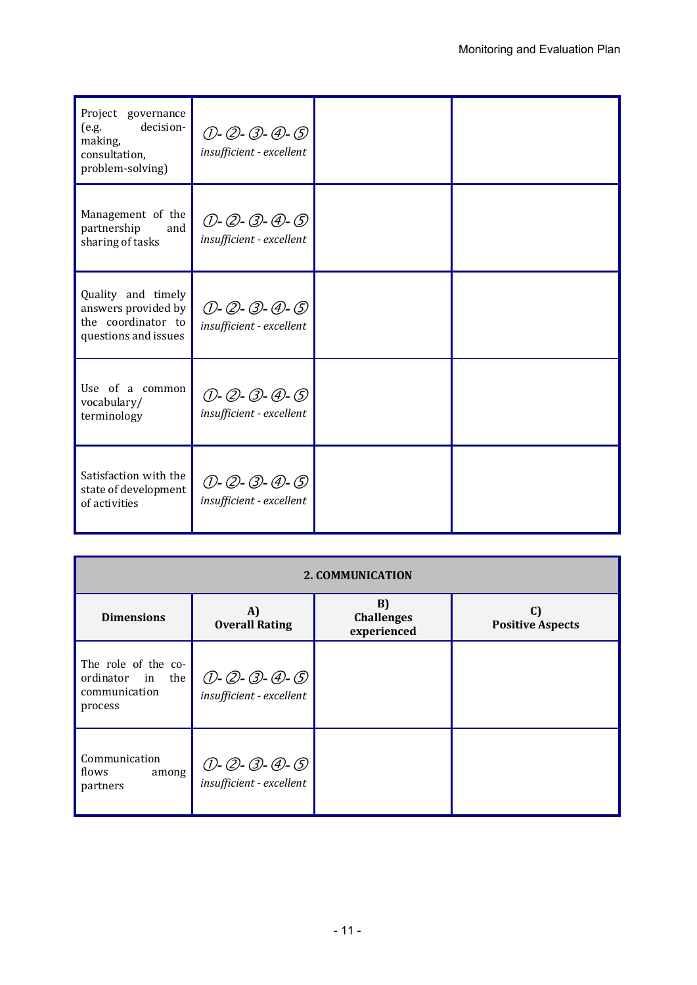| Project governance<br>decision-<br>(e.g.<br>making,<br>consultation,<br>problem-solving) | $(D - Q - Q - Q - Q)$<br>insufficient - excellent |  |
|------------------------------------------------------------------------------------------|---------------------------------------------------|--|
| Management of the<br>partnership<br>and<br>sharing of tasks                              | (D-Q-B-D-D-<br>insufficient - excellent           |  |
| Quality and timely<br>answers provided by<br>the coordinator to<br>questions and issues  | $(D - Q - Q - Q - Q)$<br>insufficient - excellent |  |
| Use of a common<br>vocabulary/<br>terminology                                            | (D-Q-B-D-D-<br>insufficient - excellent           |  |
| Satisfaction with the<br>state of development<br>of activities                           | (D-Q-B-D-D-<br>insufficient - excellent           |  |

| <b>2. COMMUNICATION</b>                                             |                                                     |                                        |                               |
|---------------------------------------------------------------------|-----------------------------------------------------|----------------------------------------|-------------------------------|
| <b>Dimensions</b>                                                   | A)<br><b>Overall Rating</b>                         | B)<br><b>Challenges</b><br>experienced | C)<br><b>Positive Aspects</b> |
| The role of the co-<br>ordinator in the<br>communication<br>process | $(D - Q - G) - (D - G)$<br>insufficient - excellent |                                        |                               |
| Communication<br>flows<br>among<br>partners                         | $(D - Q - Q - Q - Q)$<br>insufficient - excellent   |                                        |                               |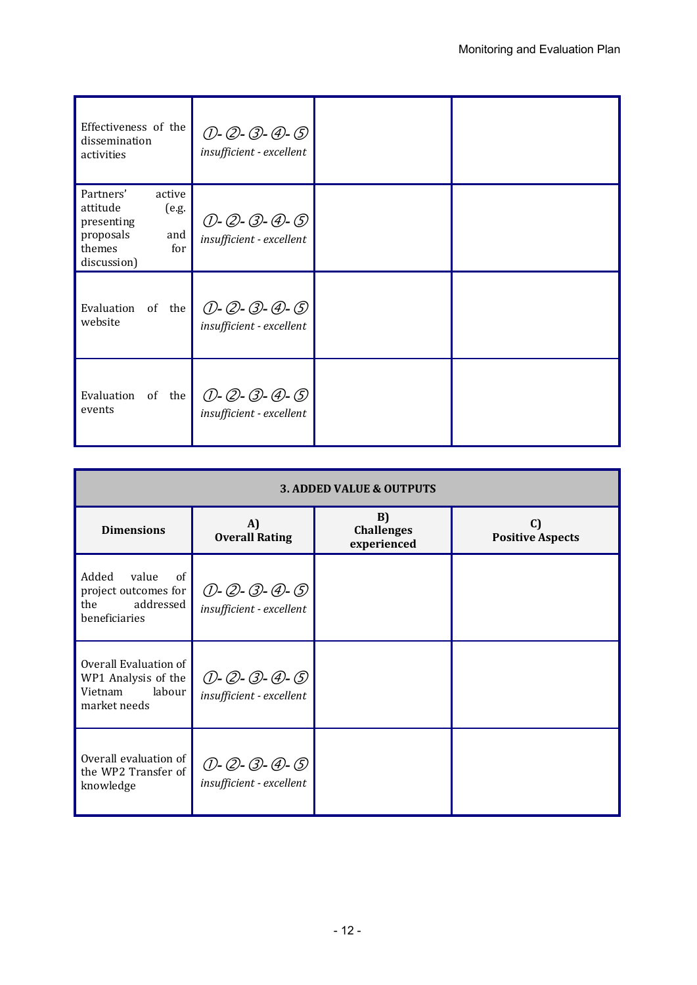| Effectiveness of the<br>dissemination<br>activities                                                        | $(D - Q - Q - Q - Q)$<br>insufficient - excellent |  |
|------------------------------------------------------------------------------------------------------------|---------------------------------------------------|--|
| Partners'<br>active<br>attitude<br>(e.g.<br>presenting<br>proposals<br>and<br>themes<br>for<br>discussion) | $(D - Q - Q - Q - Q)$<br>insufficient - excellent |  |
| Evaluation<br>the<br>of<br>website                                                                         | $(D - Q - Q - Q - Q)$<br>insufficient - excellent |  |
| Evaluation<br>of<br>the<br>events                                                                          | $(D - Q - Q - Q - Q)$<br>insufficient - excellent |  |

| <b>3. ADDED VALUE &amp; OUTPUTS</b>                                               |                                                   |                                        |                                         |
|-----------------------------------------------------------------------------------|---------------------------------------------------|----------------------------------------|-----------------------------------------|
| <b>Dimensions</b>                                                                 | A)<br><b>Overall Rating</b>                       | B)<br><b>Challenges</b><br>experienced | $\mathbf{C}$<br><b>Positive Aspects</b> |
| of<br>Added<br>value<br>project outcomes for<br>the<br>addressed<br>beneficiaries | $(D - Q - Q - Q - Q)$<br>insufficient - excellent |                                        |                                         |
| Overall Evaluation of<br>WP1 Analysis of the<br>labour<br>Vietnam<br>market needs | $(D - Q - Q - Q - Q)$<br>insufficient - excellent |                                        |                                         |
| Overall evaluation of<br>the WP2 Transfer of<br>knowledge                         | $(D - Q - Q - Q - Q)$<br>insufficient - excellent |                                        |                                         |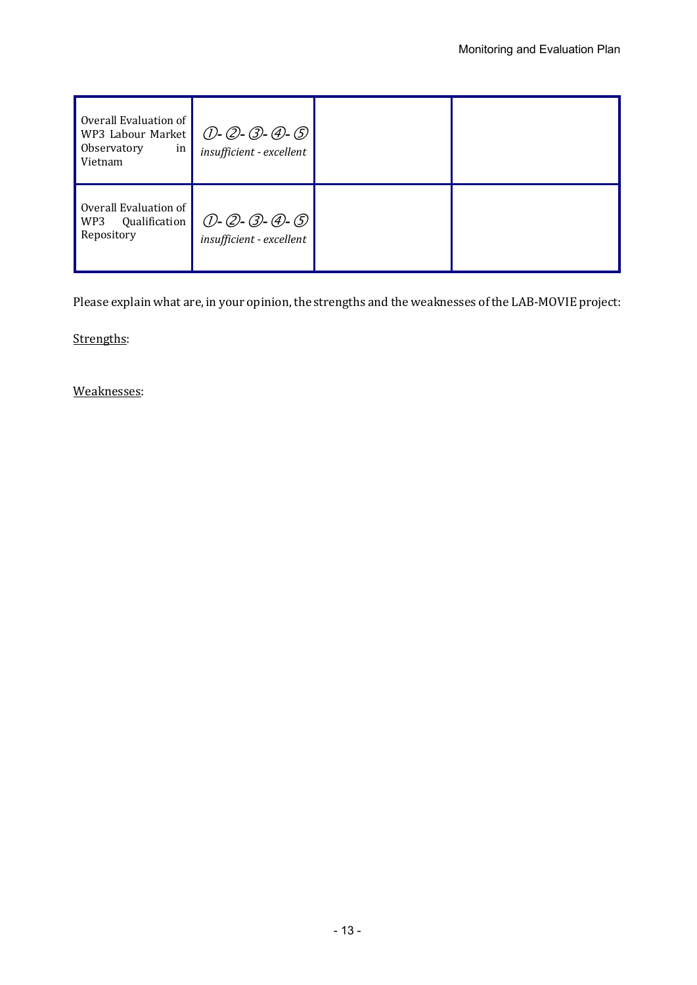| Overall Evaluation of<br>WP3 Labour Market<br>Observatory<br>in<br>Vietnam | (D-Q-B-D-D-<br><i>insufficient - excellent</i> |  |
|----------------------------------------------------------------------------|------------------------------------------------|--|
| Overall Evaluation of<br>Qualification<br>WP3<br>Repository                | (D-Q-B-D-G)<br>insufficient - excellent        |  |

Please explain what are, in your opinion, the strengths and the weaknesses of the LAB-MOVIE project:

Strengths:

Weaknesses: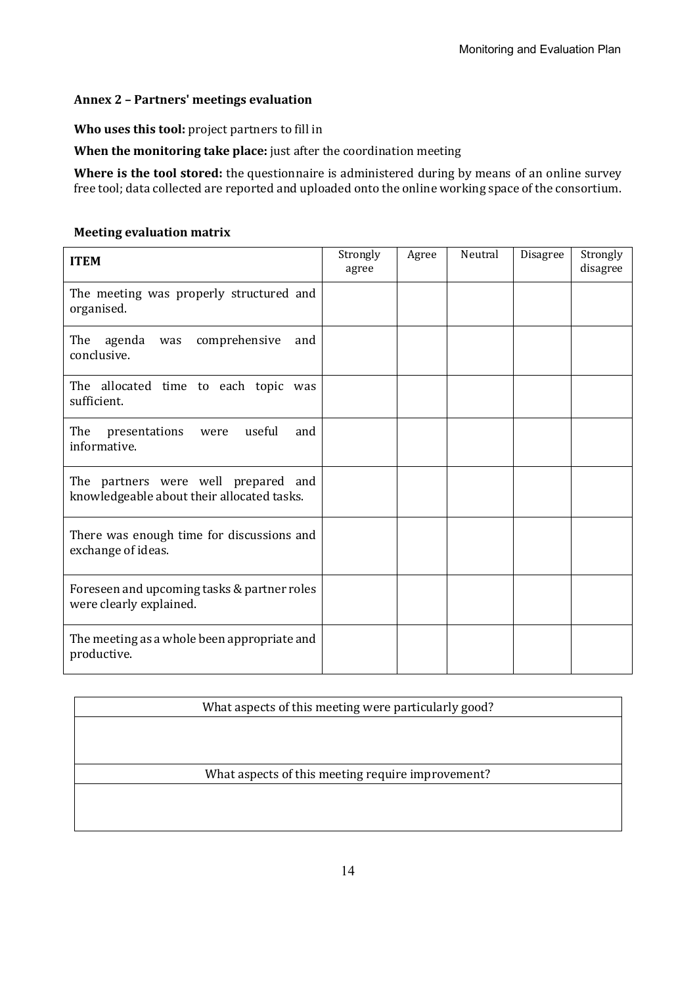#### **Annex 2 – Partners' meetings evaluation**

**Who uses this tool:** project partners to fill in

**When the monitoring take place:** just after the coordination meeting

**Where is the tool stored:** the questionnaire is administered during by means of an online survey free tool; data collected are reported and uploaded onto the online working space of the consortium.

#### **Meeting evaluation matrix**

| <b>ITEM</b>                                                                       | Strongly<br>agree | Agree | Neutral | Disagree | Strongly<br>disagree |
|-----------------------------------------------------------------------------------|-------------------|-------|---------|----------|----------------------|
| The meeting was properly structured and<br>organised.                             |                   |       |         |          |                      |
| The<br>comprehensive<br>agenda<br>and<br>was<br>conclusive.                       |                   |       |         |          |                      |
| The allocated time to each topic was<br>sufficient.                               |                   |       |         |          |                      |
| The<br>presentations<br>useful<br>and<br>were<br>informative.                     |                   |       |         |          |                      |
| The partners were well prepared and<br>knowledgeable about their allocated tasks. |                   |       |         |          |                      |
| There was enough time for discussions and<br>exchange of ideas.                   |                   |       |         |          |                      |
| Foreseen and upcoming tasks & partner roles<br>were clearly explained.            |                   |       |         |          |                      |
| The meeting as a whole been appropriate and<br>productive.                        |                   |       |         |          |                      |

What aspects of this meeting were particularly good?

What aspects of this meeting require improvement?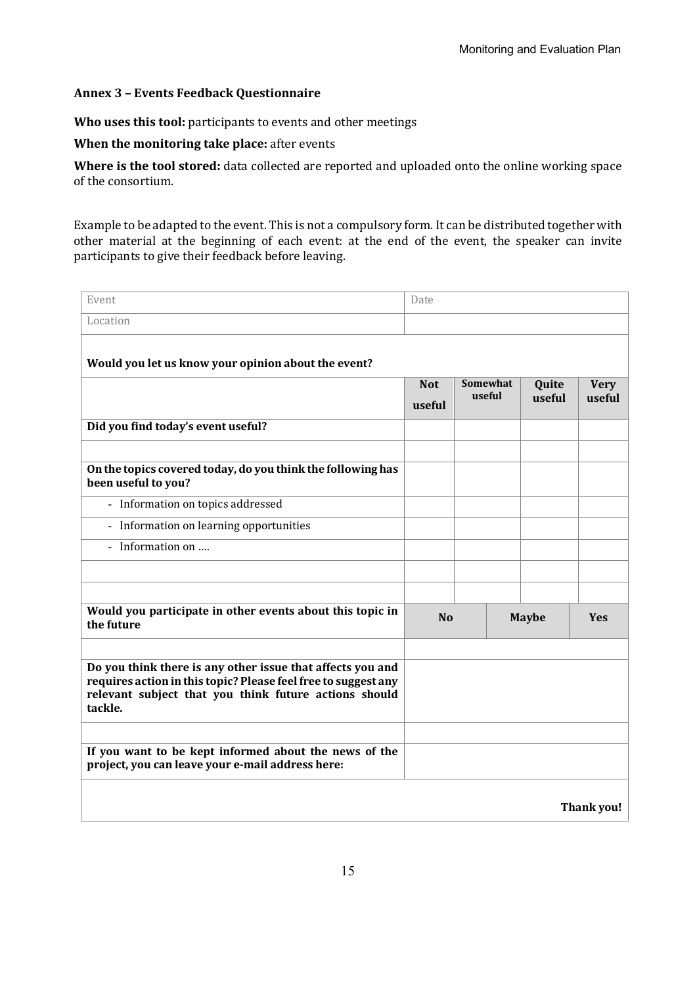#### **Annex 3 – Events Feedback Questionnaire**

**Who uses this tool:** participants to events and other meetings

**When the monitoring take place:** after events

Where is the tool stored: data collected are reported and uploaded onto the online working space of the consortium.

Example to be adapted to the event. This is not a compulsory form. It can be distributed together with other material at the beginning of each event: at the end of the event, the speaker can invite participants to give their feedback before leaving.

| Event                                                                                                                                                                                            | Date                 |                    |                 |                       |
|--------------------------------------------------------------------------------------------------------------------------------------------------------------------------------------------------|----------------------|--------------------|-----------------|-----------------------|
| Location                                                                                                                                                                                         |                      |                    |                 |                       |
| Would you let us know your opinion about the event?                                                                                                                                              |                      |                    |                 |                       |
|                                                                                                                                                                                                  | <b>Not</b><br>useful | Somewhat<br>useful | Quite<br>useful | <b>Very</b><br>useful |
| Did you find today's event useful?                                                                                                                                                               |                      |                    |                 |                       |
| On the topics covered today, do you think the following has<br>been useful to you?                                                                                                               |                      |                    |                 |                       |
| - Information on topics addressed                                                                                                                                                                |                      |                    |                 |                       |
| - Information on learning opportunities                                                                                                                                                          |                      |                    |                 |                       |
| Information on<br>$\overline{a}$                                                                                                                                                                 |                      |                    |                 |                       |
|                                                                                                                                                                                                  |                      |                    |                 |                       |
|                                                                                                                                                                                                  |                      |                    |                 |                       |
| Would you participate in other events about this topic in<br>the future                                                                                                                          | <b>No</b>            |                    | <b>Maybe</b>    | <b>Yes</b>            |
|                                                                                                                                                                                                  |                      |                    |                 |                       |
| Do you think there is any other issue that affects you and<br>requires action in this topic? Please feel free to suggest any<br>relevant subject that you think future actions should<br>tackle. |                      |                    |                 |                       |
|                                                                                                                                                                                                  |                      |                    |                 |                       |
| If you want to be kept informed about the news of the<br>project, you can leave your e-mail address here:                                                                                        |                      |                    |                 |                       |
|                                                                                                                                                                                                  |                      |                    |                 | Thank you!            |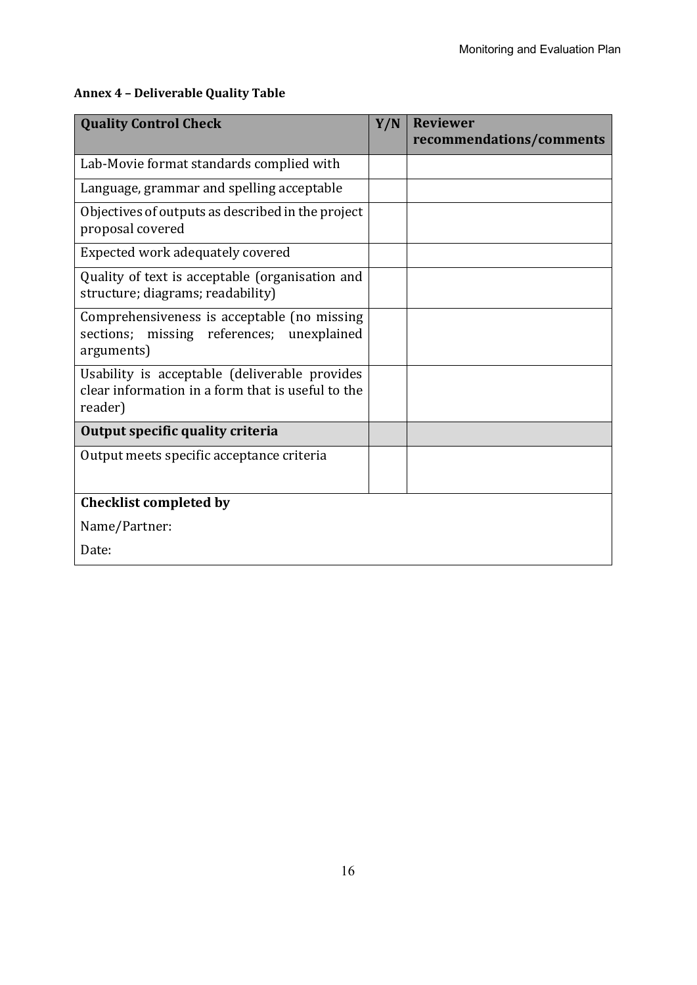| <b>Quality Control Check</b>                                                                                  | Y/N | <b>Reviewer</b><br>recommendations/comments |
|---------------------------------------------------------------------------------------------------------------|-----|---------------------------------------------|
| Lab-Movie format standards complied with                                                                      |     |                                             |
| Language, grammar and spelling acceptable                                                                     |     |                                             |
| Objectives of outputs as described in the project<br>proposal covered                                         |     |                                             |
| Expected work adequately covered                                                                              |     |                                             |
| Quality of text is acceptable (organisation and<br>structure; diagrams; readability)                          |     |                                             |
| Comprehensiveness is acceptable (no missing<br>missing references; unexplained<br>sections;<br>arguments)     |     |                                             |
| Usability is acceptable (deliverable provides<br>clear information in a form that is useful to the<br>reader) |     |                                             |
| Output specific quality criteria                                                                              |     |                                             |
| Output meets specific acceptance criteria                                                                     |     |                                             |
| <b>Checklist completed by</b>                                                                                 |     |                                             |
| Name/Partner:                                                                                                 |     |                                             |
| Date:                                                                                                         |     |                                             |

## **Annex 4 – Deliverable Quality Table**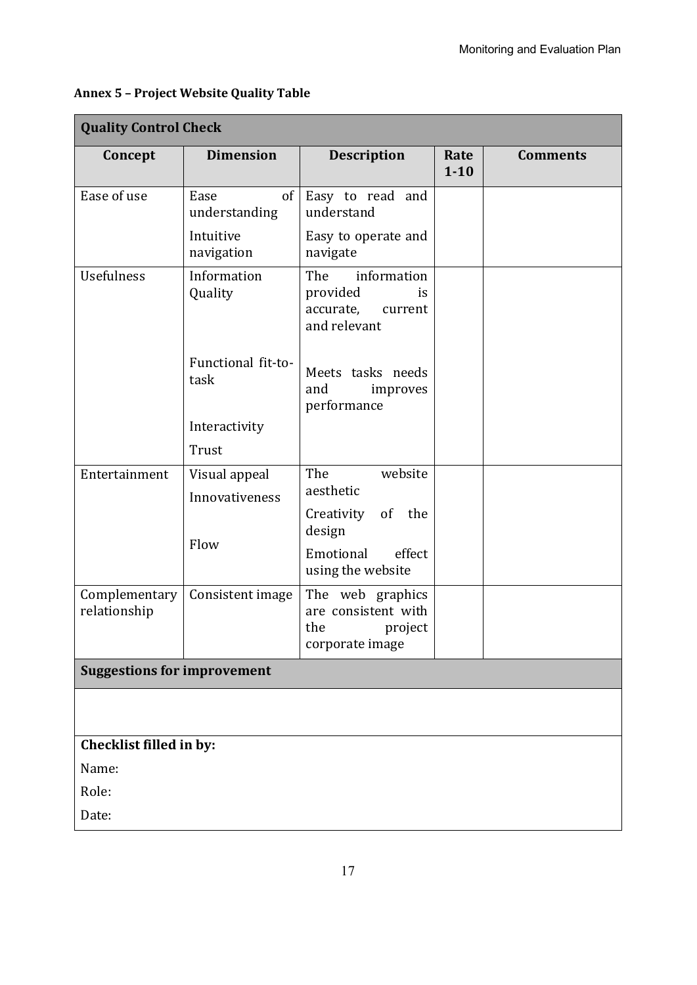| <b>Dimension</b><br><b>Description</b><br>Concept<br><b>Comments</b><br>Rate<br>$1 - 10$<br>Ease of use<br>Ease<br>of<br>Easy to read and<br>understand<br>understanding<br>Intuitive<br>Easy to operate and<br>navigation<br>navigate<br><b>Usefulness</b><br>Information<br>The<br>information<br>Quality<br>provided<br><i>is</i><br>accurate,<br>current<br>and relevant<br>Functional fit-to-<br>Meets tasks needs<br>task<br>and<br>improves<br>performance<br>Interactivity<br>Trust<br>The<br>website<br>Entertainment<br>Visual appeal<br>aesthetic<br>Innovativeness<br>of the<br>Creativity<br>design<br>Flow<br>Emotional<br>effect<br>using the website<br>The web graphics<br>Complementary<br>Consistent image<br>relationship<br>are consistent with<br>the<br>project<br>corporate image<br><b>Suggestions for improvement</b><br>Checklist filled in by:<br>Name:<br>Role:<br>Date: | <b>Quality Control Check</b> |  |  |  |  |  |  |
|-------------------------------------------------------------------------------------------------------------------------------------------------------------------------------------------------------------------------------------------------------------------------------------------------------------------------------------------------------------------------------------------------------------------------------------------------------------------------------------------------------------------------------------------------------------------------------------------------------------------------------------------------------------------------------------------------------------------------------------------------------------------------------------------------------------------------------------------------------------------------------------------------------|------------------------------|--|--|--|--|--|--|
|                                                                                                                                                                                                                                                                                                                                                                                                                                                                                                                                                                                                                                                                                                                                                                                                                                                                                                       |                              |  |  |  |  |  |  |
|                                                                                                                                                                                                                                                                                                                                                                                                                                                                                                                                                                                                                                                                                                                                                                                                                                                                                                       |                              |  |  |  |  |  |  |
|                                                                                                                                                                                                                                                                                                                                                                                                                                                                                                                                                                                                                                                                                                                                                                                                                                                                                                       |                              |  |  |  |  |  |  |
|                                                                                                                                                                                                                                                                                                                                                                                                                                                                                                                                                                                                                                                                                                                                                                                                                                                                                                       |                              |  |  |  |  |  |  |
|                                                                                                                                                                                                                                                                                                                                                                                                                                                                                                                                                                                                                                                                                                                                                                                                                                                                                                       |                              |  |  |  |  |  |  |
|                                                                                                                                                                                                                                                                                                                                                                                                                                                                                                                                                                                                                                                                                                                                                                                                                                                                                                       |                              |  |  |  |  |  |  |
|                                                                                                                                                                                                                                                                                                                                                                                                                                                                                                                                                                                                                                                                                                                                                                                                                                                                                                       |                              |  |  |  |  |  |  |
|                                                                                                                                                                                                                                                                                                                                                                                                                                                                                                                                                                                                                                                                                                                                                                                                                                                                                                       |                              |  |  |  |  |  |  |
|                                                                                                                                                                                                                                                                                                                                                                                                                                                                                                                                                                                                                                                                                                                                                                                                                                                                                                       |                              |  |  |  |  |  |  |
|                                                                                                                                                                                                                                                                                                                                                                                                                                                                                                                                                                                                                                                                                                                                                                                                                                                                                                       |                              |  |  |  |  |  |  |
|                                                                                                                                                                                                                                                                                                                                                                                                                                                                                                                                                                                                                                                                                                                                                                                                                                                                                                       |                              |  |  |  |  |  |  |
|                                                                                                                                                                                                                                                                                                                                                                                                                                                                                                                                                                                                                                                                                                                                                                                                                                                                                                       |                              |  |  |  |  |  |  |
|                                                                                                                                                                                                                                                                                                                                                                                                                                                                                                                                                                                                                                                                                                                                                                                                                                                                                                       |                              |  |  |  |  |  |  |
|                                                                                                                                                                                                                                                                                                                                                                                                                                                                                                                                                                                                                                                                                                                                                                                                                                                                                                       |                              |  |  |  |  |  |  |
|                                                                                                                                                                                                                                                                                                                                                                                                                                                                                                                                                                                                                                                                                                                                                                                                                                                                                                       |                              |  |  |  |  |  |  |
|                                                                                                                                                                                                                                                                                                                                                                                                                                                                                                                                                                                                                                                                                                                                                                                                                                                                                                       |                              |  |  |  |  |  |  |
|                                                                                                                                                                                                                                                                                                                                                                                                                                                                                                                                                                                                                                                                                                                                                                                                                                                                                                       |                              |  |  |  |  |  |  |
|                                                                                                                                                                                                                                                                                                                                                                                                                                                                                                                                                                                                                                                                                                                                                                                                                                                                                                       |                              |  |  |  |  |  |  |
|                                                                                                                                                                                                                                                                                                                                                                                                                                                                                                                                                                                                                                                                                                                                                                                                                                                                                                       |                              |  |  |  |  |  |  |
|                                                                                                                                                                                                                                                                                                                                                                                                                                                                                                                                                                                                                                                                                                                                                                                                                                                                                                       |                              |  |  |  |  |  |  |

### **Annex 5 – Project Website Quality Table**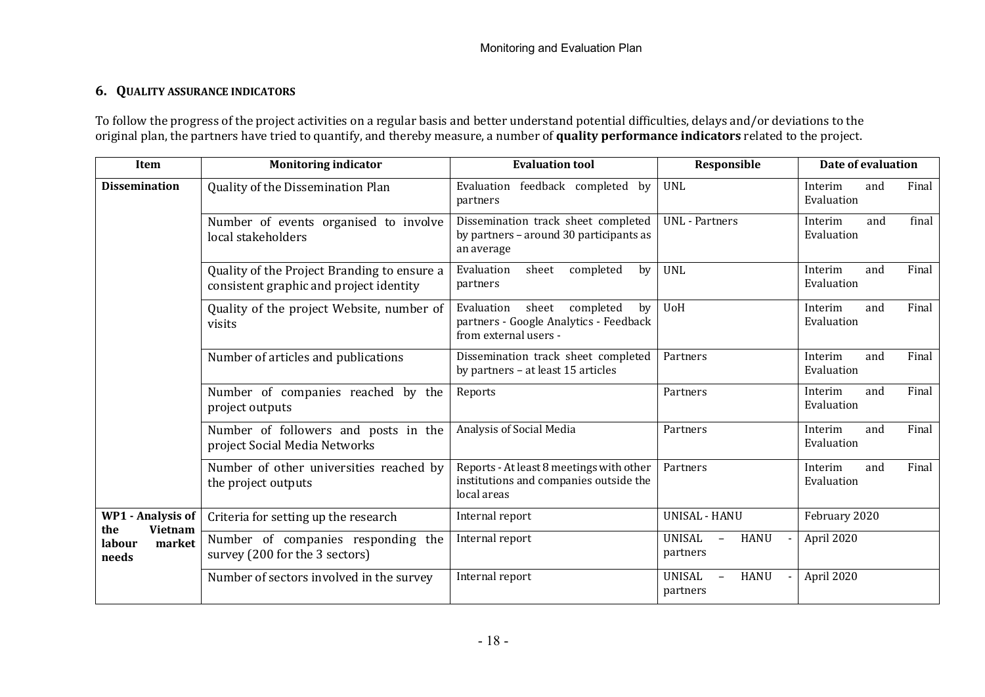#### **6. QUALITY ASSURANCE INDICATORS**

To follow the progress of the project activities on a regular basis and better understand potential difficulties, delays and/or deviations to the original plan, the partners have tried to quantify, and thereby measure, a number of **quality performance indicators** related to the project.

| Item                                                                           | <b>Monitoring indicator</b>                                                                                                                                | <b>Evaluation tool</b>                                                                            | Responsible                                                   | Date of evaluation                    |  |
|--------------------------------------------------------------------------------|------------------------------------------------------------------------------------------------------------------------------------------------------------|---------------------------------------------------------------------------------------------------|---------------------------------------------------------------|---------------------------------------|--|
| <b>Dissemination</b>                                                           | Quality of the Dissemination Plan                                                                                                                          | Evaluation feedback completed by<br>partners                                                      | <b>UNL</b>                                                    | Final<br>Interim<br>and<br>Evaluation |  |
|                                                                                | Number of events organised to involve<br>local stakeholders                                                                                                | Dissemination track sheet completed<br>by partners - around 30 participants as<br>an average      | <b>UNL</b> - Partners                                         | final<br>Interim<br>and<br>Evaluation |  |
|                                                                                | Quality of the Project Branding to ensure a<br>consistent graphic and project identity                                                                     | Evaluation<br>completed<br>by<br>sheet<br>partners                                                | <b>UNL</b>                                                    | Final<br>Interim<br>and<br>Evaluation |  |
|                                                                                | Evaluation<br>sheet<br>completed<br>Quality of the project Website, number of<br>partners - Google Analytics - Feedback<br>visits<br>from external users - |                                                                                                   | <b>UoH</b>                                                    | Final<br>Interim<br>and<br>Evaluation |  |
|                                                                                | Number of articles and publications                                                                                                                        | Dissemination track sheet completed<br>by partners - at least 15 articles                         | Partners                                                      | Interim<br>Final<br>and<br>Evaluation |  |
|                                                                                | Number of companies reached by the<br>project outputs                                                                                                      | Reports                                                                                           | Partners                                                      | Final<br>Interim<br>and<br>Evaluation |  |
|                                                                                | Number of followers and posts in the<br>project Social Media Networks                                                                                      | Analysis of Social Media                                                                          | Partners                                                      | Interim<br>Final<br>and<br>Evaluation |  |
|                                                                                | Number of other universities reached by<br>the project outputs                                                                                             | Reports - At least 8 meetings with other<br>institutions and companies outside the<br>local areas | Partners                                                      | Interim<br>Final<br>and<br>Evaluation |  |
| <b>WP1 - Analysis of</b><br><b>Vietnam</b><br>the<br>market<br>labour<br>needs | Criteria for setting up the research                                                                                                                       | Internal report                                                                                   | <b>UNISAL - HANU</b>                                          | February 2020                         |  |
|                                                                                | Number of companies responding the<br>survey (200 for the 3 sectors)                                                                                       | Internal report                                                                                   | <b>UNISAL</b><br><b>HANU</b><br>$\qquad \qquad -$<br>partners | April 2020                            |  |
|                                                                                | Number of sectors involved in the survey                                                                                                                   | Internal report                                                                                   | <b>UNISAL</b><br><b>HANU</b><br>$\equiv$<br>partners          | April 2020                            |  |